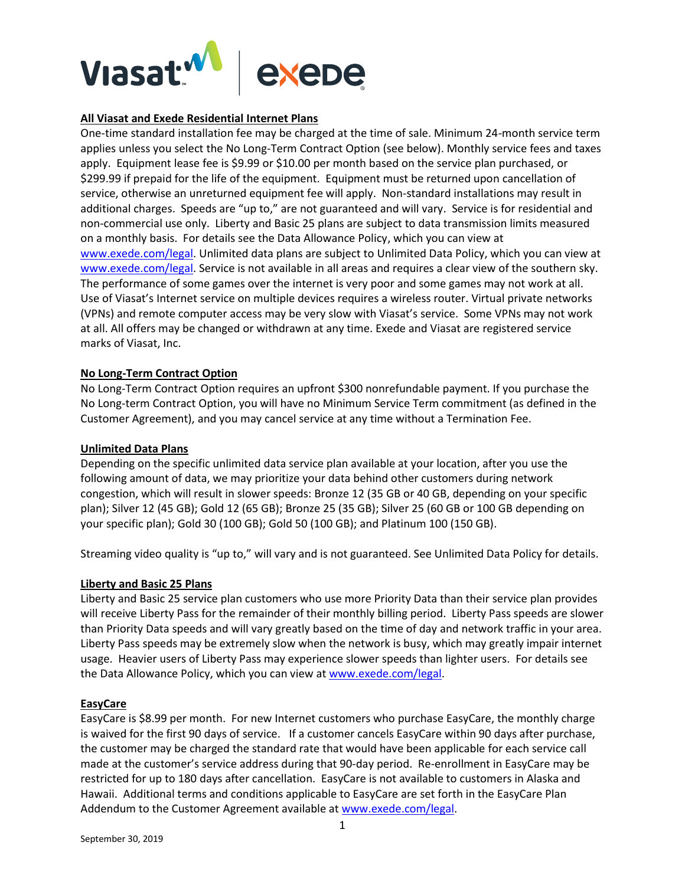

#### **All Viasat and Exede Residential Internet Plans**

One-time standard installation fee may be charged at the time of sale. Minimum 24-month service term applies unless you select the No Long-Term Contract Option (see below). Monthly service fees and taxes apply. Equipment lease fee is \$9.99 or \$10.00 per month based on the service plan purchased, or \$299.99 if prepaid for the life of the equipment. Equipment must be returned upon cancellation of service, otherwise an unreturned equipment fee will apply. Non-standard installations may result in additional charges. Speeds are "up to," are not guaranteed and will vary. Service is for residential and non-commercial use only. Liberty and Basic 25 plans are subject to data transmission limits measured on a monthly basis. For details see the Data Allowance Policy, which you can view at [www.exede.com/legal.](http://www.exede.com/legal) Unlimited data plans are subject to Unlimited Data Policy, which you can view at [www.exede.com/legal.](http://www.exede.com/legal) Service is not available in all areas and requires a clear view of the southern sky. The performance of some games over the internet is very poor and some games may not work at all. Use of Viasat's Internet service on multiple devices requires a wireless router. Virtual private networks (VPNs) and remote computer access may be very slow with Viasat's service. Some VPNs may not work at all. All offers may be changed or withdrawn at any time. Exede and Viasat are registered service marks of Viasat, Inc.

#### **No Long-Term Contract Option**

No Long-Term Contract Option requires an upfront \$300 nonrefundable payment. If you purchase the No Long-term Contract Option, you will have no Minimum Service Term commitment (as defined in the Customer Agreement), and you may cancel service at any time without a Termination Fee.

#### **Unlimited Data Plans**

Depending on the specific unlimited data service plan available at your location, after you use the following amount of data, we may prioritize your data behind other customers during network congestion, which will result in slower speeds: Bronze 12 (35 GB or 40 GB, depending on your specific plan); Silver 12 (45 GB); Gold 12 (65 GB); Bronze 25 (35 GB); Silver 25 (60 GB or 100 GB depending on your specific plan); Gold 30 (100 GB); Gold 50 (100 GB); and Platinum 100 (150 GB).

Streaming video quality is "up to," will vary and is not guaranteed. See Unlimited Data Policy for details.

#### **Liberty and Basic 25 Plans**

Liberty and Basic 25 service plan customers who use more Priority Data than their service plan provides will receive Liberty Pass for the remainder of their monthly billing period. Liberty Pass speeds are slower than Priority Data speeds and will vary greatly based on the time of day and network traffic in your area. Liberty Pass speeds may be extremely slow when the network is busy, which may greatly impair internet usage. Heavier users of Liberty Pass may experience slower speeds than lighter users. For details see the Data Allowance Policy, which you can view at [www.exede.com/legal.](http://www.exede.com/legal)

#### **EasyCare**

EasyCare is \$8.99 per month. For new Internet customers who purchase EasyCare, the monthly charge is waived for the first 90 days of service. If a customer cancels EasyCare within 90 days after purchase, the customer may be charged the standard rate that would have been applicable for each service call made at the customer's service address during that 90-day period. Re-enrollment in EasyCare may be restricted for up to 180 days after cancellation. EasyCare is not available to customers in Alaska and Hawaii. Additional terms and conditions applicable to EasyCare are set forth in the EasyCare Plan Addendum to the Customer Agreement available a[t www.exede.com/legal.](http://www.exede.com/legal)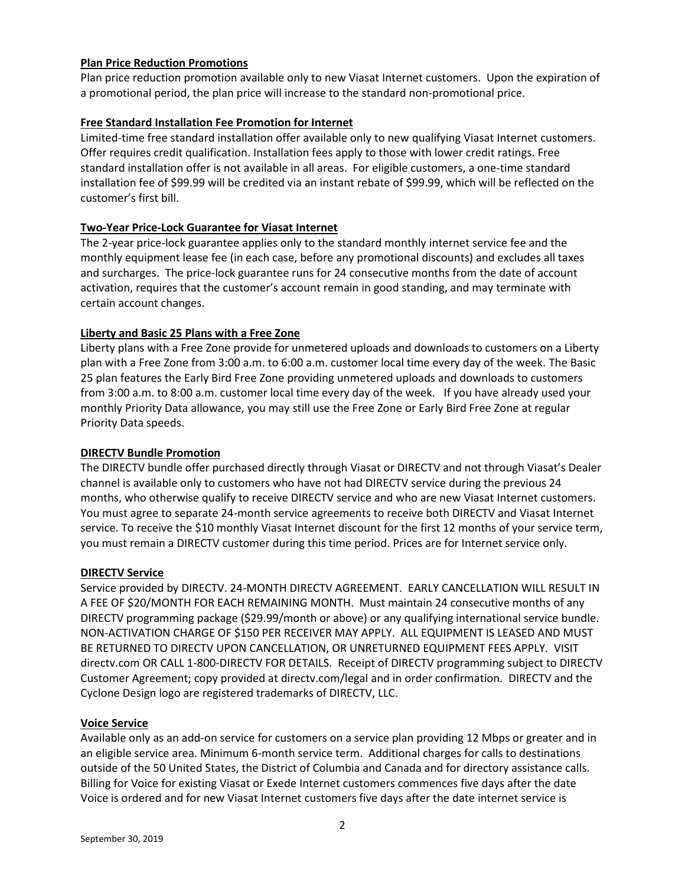### **Plan Price Reduction Promotions**

Plan price reduction promotion available only to new Viasat Internet customers. Upon the expiration of a promotional period, the plan price will increase to the standard non-promotional price.

### **Free Standard Installation Fee Promotion for Internet**

Limited-time free standard installation offer available only to new qualifying Viasat Internet customers. Offer requires credit qualification. Installation fees apply to those with lower credit ratings. Free standard installation offer is not available in all areas. For eligible customers, a one-time standard installation fee of \$99.99 will be credited via an instant rebate of \$99.99, which will be reflected on the customer's first bill.

### **Two-Year Price-Lock Guarantee for Viasat Internet**

The 2-year price-lock guarantee applies only to the standard monthly internet service fee and the monthly equipment lease fee (in each case, before any promotional discounts) and excludes all taxes and surcharges. The price-lock guarantee runs for 24 consecutive months from the date of account activation, requires that the customer's account remain in good standing, and may terminate with certain account changes.

### **Liberty and Basic 25 Plans with a Free Zone**

Liberty plans with a Free Zone provide for unmetered uploads and downloads to customers on a Liberty plan with a Free Zone from 3:00 a.m. to 6:00 a.m. customer local time every day of the week. The Basic 25 plan features the Early Bird Free Zone providing unmetered uploads and downloads to customers from 3:00 a.m. to 8:00 a.m. customer local time every day of the week. If you have already used your monthly Priority Data allowance, you may still use the Free Zone or Early Bird Free Zone at regular Priority Data speeds.

#### **DIRECTV Bundle Promotion**

The DIRECTV bundle offer purchased directly through Viasat or DIRECTV and not through Viasat's Dealer channel is available only to customers who have not had DIRECTV service during the previous 24 months, who otherwise qualify to receive DIRECTV service and who are new Viasat Internet customers. You must agree to separate 24-month service agreements to receive both DIRECTV and Viasat Internet service. To receive the \$10 monthly Viasat Internet discount for the first 12 months of your service term, you must remain a DIRECTV customer during this time period. Prices are for Internet service only.

#### **DIRECTV Service**

Service provided by DIRECTV. 24-MONTH DIRECTV AGREEMENT. EARLY CANCELLATION WILL RESULT IN A FEE OF \$20/MONTH FOR EACH REMAINING MONTH. Must maintain 24 consecutive months of any DIRECTV programming package (\$29.99/month or above) or any qualifying international service bundle. NON-ACTIVATION CHARGE OF \$150 PER RECEIVER MAY APPLY. ALL EQUIPMENT IS LEASED AND MUST BE RETURNED TO DIRECTV UPON CANCELLATION, OR UNRETURNED EQUIPMENT FEES APPLY. VISIT directv.com OR CALL 1-800-DIRECTV FOR DETAILS. Receipt of DIRECTV programming subject to DIRECTV Customer Agreement; copy provided at directv.com/legal and in order confirmation. DIRECTV and the Cyclone Design logo are registered trademarks of DIRECTV, LLC.

#### **Voice Service**

Available only as an add-on service for customers on a service plan providing 12 Mbps or greater and in an eligible service area. Minimum 6-month service term. Additional charges for calls to destinations outside of the 50 United States, the District of Columbia and Canada and for directory assistance calls. Billing for Voice for existing Viasat or Exede Internet customers commences five days after the date Voice is ordered and for new Viasat Internet customers five days after the date internet service is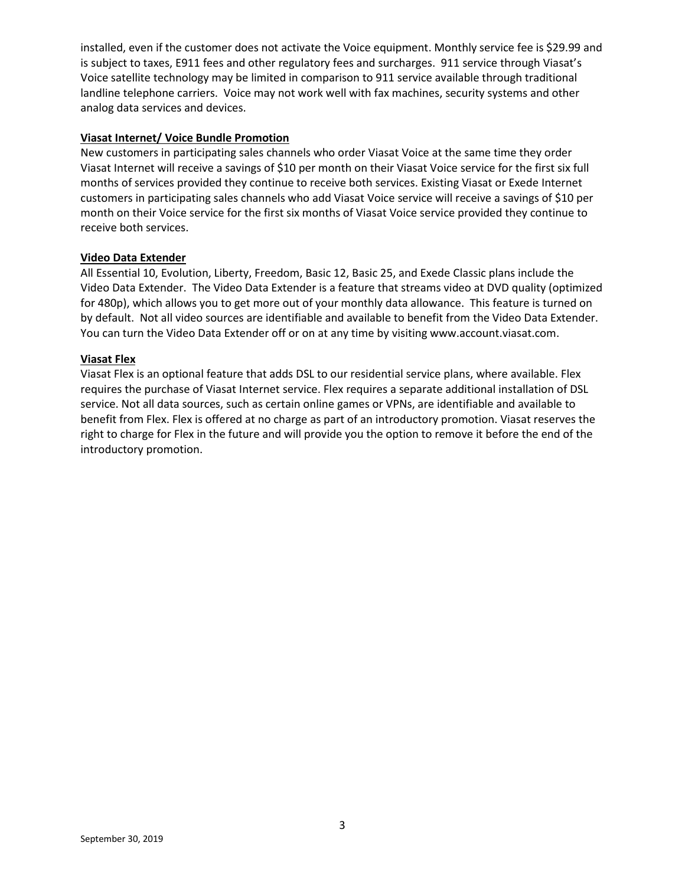installed, even if the customer does not activate the Voice equipment. Monthly service fee is \$29.99 and is subject to taxes, E911 fees and other regulatory fees and surcharges. 911 service through Viasat's Voice satellite technology may be limited in comparison to 911 service available through traditional landline telephone carriers. Voice may not work well with fax machines, security systems and other analog data services and devices.

#### **Viasat Internet/ Voice Bundle Promotion**

New customers in participating sales channels who order Viasat Voice at the same time they order Viasat Internet will receive a savings of \$10 per month on their Viasat Voice service for the first six full months of services provided they continue to receive both services. Existing Viasat or Exede Internet customers in participating sales channels who add Viasat Voice service will receive a savings of \$10 per month on their Voice service for the first six months of Viasat Voice service provided they continue to receive both services.

#### **Video Data Extender**

All Essential 10, Evolution, Liberty, Freedom, Basic 12, Basic 25, and Exede Classic plans include the Video Data Extender. The Video Data Extender is a feature that streams video at DVD quality (optimized for 480p), which allows you to get more out of your monthly data allowance. This feature is turned on by default. Not all video sources are identifiable and available to benefit from the Video Data Extender. You can turn the Video Data Extender off or on at any time by visiting www.account.viasat.com.

### **Viasat Flex**

Viasat Flex is an optional feature that adds DSL to our residential service plans, where available. Flex requires the purchase of Viasat Internet service. Flex requires a separate additional installation of DSL service. Not all data sources, such as certain online games or VPNs, are identifiable and available to benefit from Flex. Flex is offered at no charge as part of an introductory promotion. Viasat reserves the right to charge for Flex in the future and will provide you the option to remove it before the end of the introductory promotion.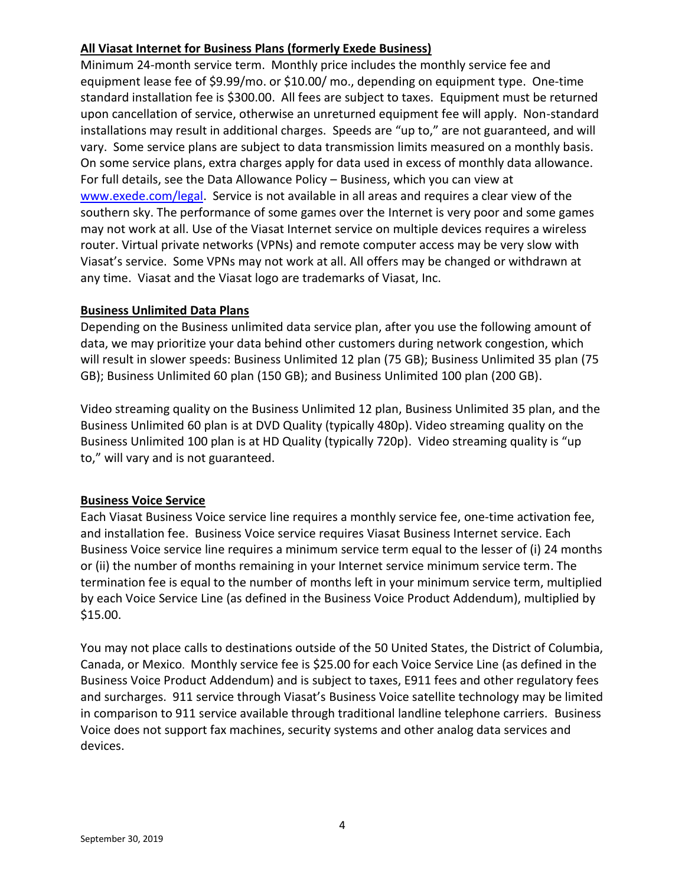# **All Viasat Internet for Business Plans (formerly Exede Business)**

Minimum 24-month service term. Monthly price includes the monthly service fee and equipment lease fee of \$9.99/mo. or \$10.00/ mo., depending on equipment type. One-time standard installation fee is \$300.00. All fees are subject to taxes. Equipment must be returned upon cancellation of service, otherwise an unreturned equipment fee will apply. Non-standard installations may result in additional charges. Speeds are "up to," are not guaranteed, and will vary. Some service plans are subject to data transmission limits measured on a monthly basis. On some service plans, extra charges apply for data used in excess of monthly data allowance. For full details, see the Data Allowance Policy – Business, which you can view at [www.exede.com/legal.](http://www.exede.com/legal) Service is not available in all areas and requires a clear view of the southern sky. The performance of some games over the Internet is very poor and some games may not work at all. Use of the Viasat Internet service on multiple devices requires a wireless router. Virtual private networks (VPNs) and remote computer access may be very slow with Viasat's service. Some VPNs may not work at all. All offers may be changed or withdrawn at any time. Viasat and the Viasat logo are trademarks of Viasat, Inc.

# **Business Unlimited Data Plans**

Depending on the Business unlimited data service plan, after you use the following amount of data, we may prioritize your data behind other customers during network congestion, which will result in slower speeds: Business Unlimited 12 plan (75 GB); Business Unlimited 35 plan (75 GB); Business Unlimited 60 plan (150 GB); and Business Unlimited 100 plan (200 GB).

Video streaming quality on the Business Unlimited 12 plan, Business Unlimited 35 plan, and the Business Unlimited 60 plan is at DVD Quality (typically 480p). Video streaming quality on the Business Unlimited 100 plan is at HD Quality (typically 720p). Video streaming quality is "up to," will vary and is not guaranteed.

# **Business Voice Service**

Each Viasat Business Voice service line requires a monthly service fee, one-time activation fee, and installation fee. Business Voice service requires Viasat Business Internet service. Each Business Voice service line requires a minimum service term equal to the lesser of (i) 24 months or (ii) the number of months remaining in your Internet service minimum service term. The termination fee is equal to the number of months left in your minimum service term, multiplied by each Voice Service Line (as defined in the Business Voice Product Addendum), multiplied by \$15.00.

You may not place calls to destinations outside of the 50 United States, the District of Columbia, Canada, or Mexico. Monthly service fee is \$25.00 for each Voice Service Line (as defined in the Business Voice Product Addendum) and is subject to taxes, E911 fees and other regulatory fees and surcharges. 911 service through Viasat's Business Voice satellite technology may be limited in comparison to 911 service available through traditional landline telephone carriers. Business Voice does not support fax machines, security systems and other analog data services and devices.